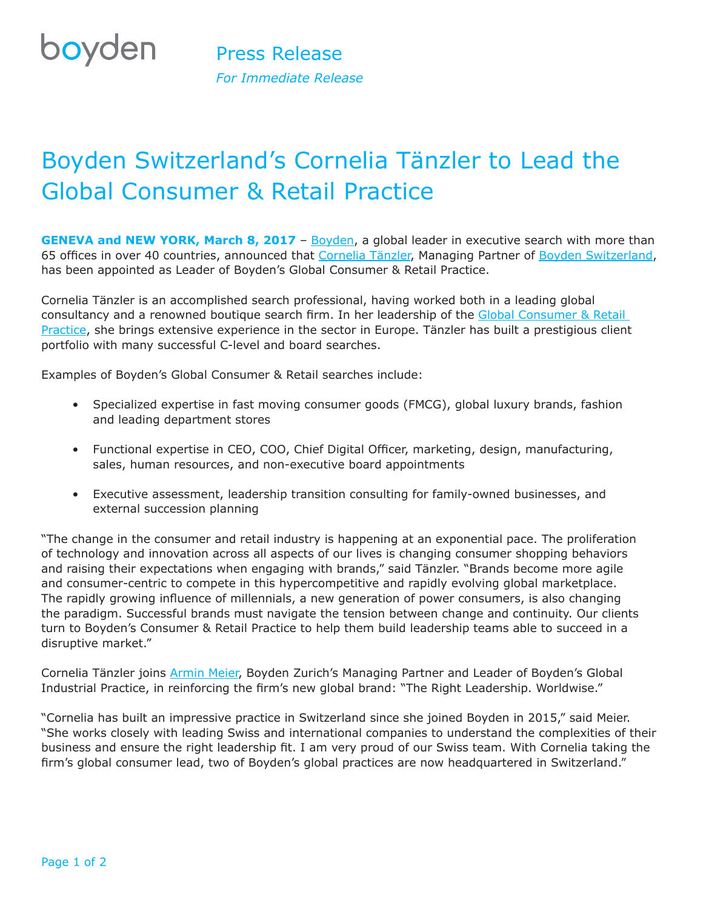## **boyden**

## Boyden Switzerland's Cornelia Tänzler to Lead the Global Consumer & Retail Practice

**GENEVA and NEW YORK, March 8, 2017** - [Boyden](https://www.boyden.com/), a global leader in executive search with more than 65 offices in over 40 countries, announced that [Cornelia Tänzler](https://www.boyden.com/cornelia-tanzler/index.html), Managing Partner of [Boyden Switzerland,](https://www.boyden.ch/switzerland/index.html) has been appointed as Leader of Boyden's Global Consumer & Retail Practice.

Cornelia Tänzler is an accomplished search professional, having worked both in a leading global consultancy and a renowned boutique search firm. In her leadership of the Global Consumer & Retail [Practice](https://www.boyden.com/consumer-and-retail/index.html?_ga=1.191509738.1337600480.1488834921), she brings extensive experience in the sector in Europe. Tänzler has built a prestigious client portfolio with many successful C-level and board searches.

Examples of Boyden's Global Consumer & Retail searches include:

- Specialized expertise in fast moving consumer goods (FMCG), global luxury brands, fashion and leading department stores
- Functional expertise in CEO, COO, Chief Digital Officer, marketing, design, manufacturing, sales, human resources, and non-executive board appointments
- Executive assessment, leadership transition consulting for family-owned businesses, and external succession planning

"The change in the consumer and retail industry is happening at an exponential pace. The proliferation of technology and innovation across all aspects of our lives is changing consumer shopping behaviors and raising their expectations when engaging with brands," said Tänzler. "Brands become more agile and consumer-centric to compete in this hypercompetitive and rapidly evolving global marketplace. The rapidly growing influence of millennials, a new generation of power consumers, is also changing the paradigm. Successful brands must navigate the tension between change and continuity. Our clients turn to Boyden's Consumer & Retail Practice to help them build leadership teams able to succeed in a disruptive market."

Cornelia Tänzler joins [Armin Meier,](https://www.boyden.com/armin-meier/index.html) Boyden Zurich's Managing Partner and Leader of Boyden's Global Industrial Practice, in reinforcing the firm's new global brand: "The Right Leadership. Worldwise."

"Cornelia has built an impressive practice in Switzerland since she joined Boyden in 2015," said Meier. "She works closely with leading Swiss and international companies to understand the complexities of their business and ensure the right leadership fit. I am very proud of our Swiss team. With Cornelia taking the firm's global consumer lead, two of Boyden's global practices are now headquartered in Switzerland."